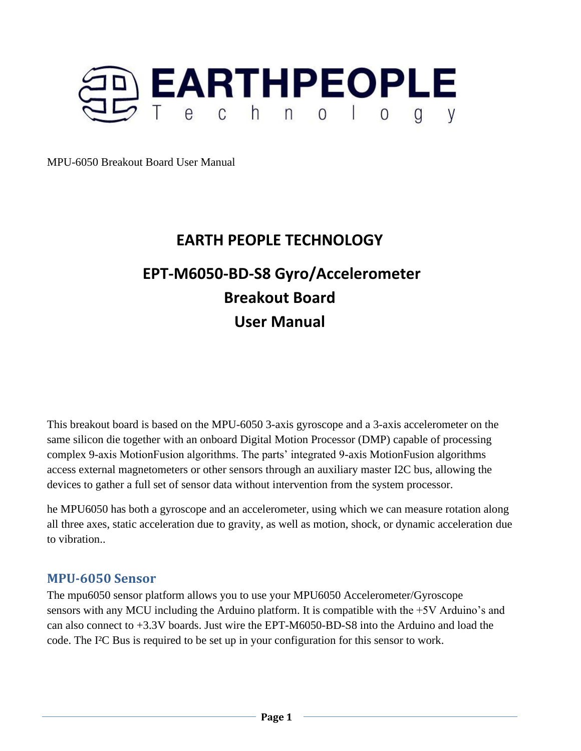

# **EARTH PEOPLE TECHNOLOGY**

# **EPT-M6050-BD-S8 Gyro/Accelerometer Breakout Board User Manual**

This breakout board is based on the MPU-6050 3-axis gyroscope and a 3-axis accelerometer on the same silicon die together with an onboard Digital Motion Processor (DMP) capable of processing complex 9-axis MotionFusion algorithms. The parts' integrated 9-axis MotionFusion algorithms access external magnetometers or other sensors through an auxiliary master I2C bus, allowing the devices to gather a full set of sensor data without intervention from the system processor.

he MPU6050 has both a gyroscope and an accelerometer, using which we can measure rotation along all three axes, static acceleration due to gravity, as well as motion, shock, or dynamic acceleration due to vibration..

### **MPU-6050 Sensor**

The mpu6050 sensor platform allows you to use your MPU6050 Accelerometer/Gyroscope sensors with any MCU including the Arduino platform. It is compatible with the +5V Arduino's and can also connect to +3.3V boards. Just wire the EPT-M6050-BD-S8 into the Arduino and load the code. The I²C Bus is required to be set up in your configuration for this sensor to work.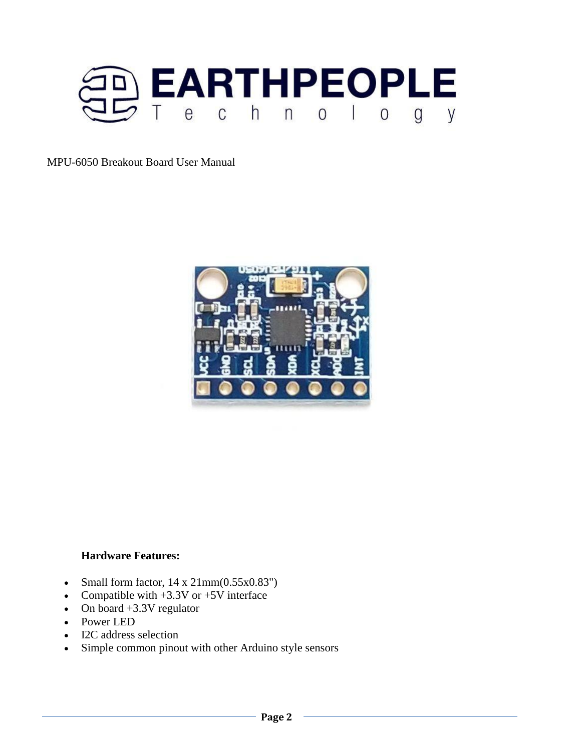



#### **Hardware Features:**

- Small form factor,  $14 \times 21 \text{mm}(0.55 \times 0.83^{\circ})$
- Compatible with  $+3.3V$  or  $+5V$  interface
- On board +3.3V regulator
- Power LED
- I2C address selection
- Simple common pinout with other Arduino style sensors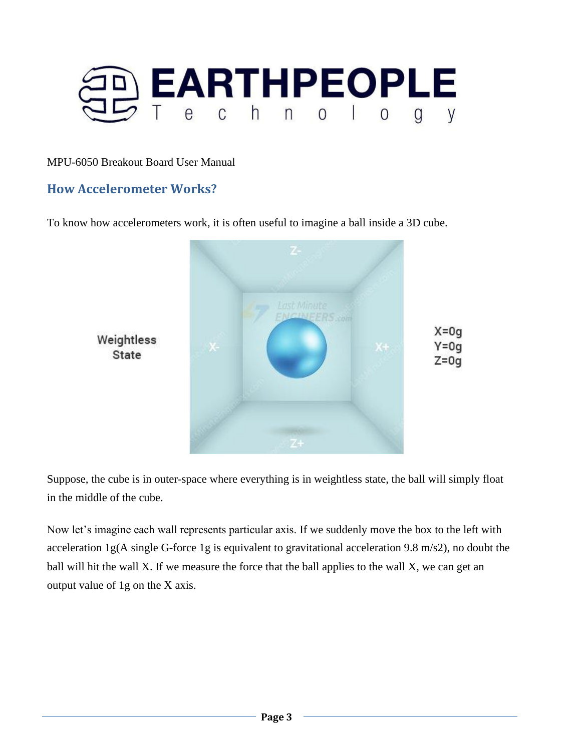

### **How Accelerometer Works?**

To know how accelerometers work, it is often useful to imagine a ball inside a 3D cube.



Suppose, the cube is in outer-space where everything is in weightless state, the ball will simply float in the middle of the cube.

Now let's imagine each wall represents particular axis. If we suddenly move the box to the left with acceleration 1g(A single G-force 1g is equivalent to gravitational acceleration 9.8 m/s2), no doubt the ball will hit the wall X. If we measure the force that the ball applies to the wall X, we can get an output value of 1g on the X axis.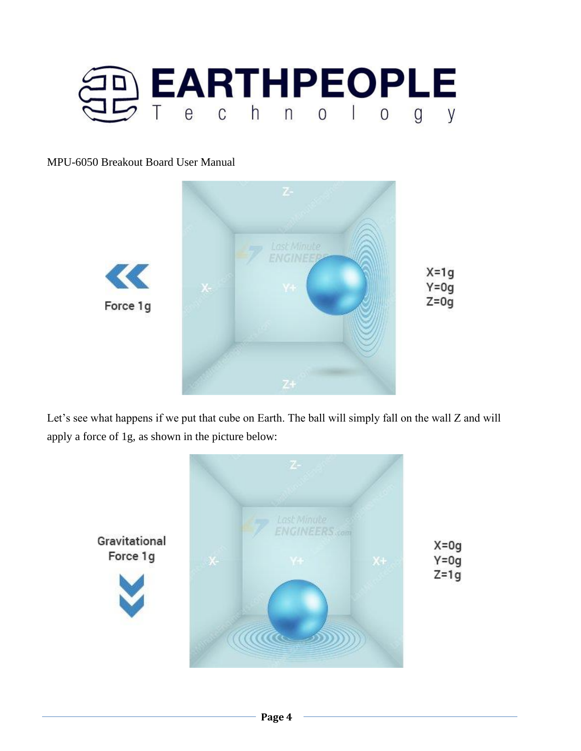



Let's see what happens if we put that cube on Earth. The ball will simply fall on the wall Z and will apply a force of 1g, as shown in the picture below:

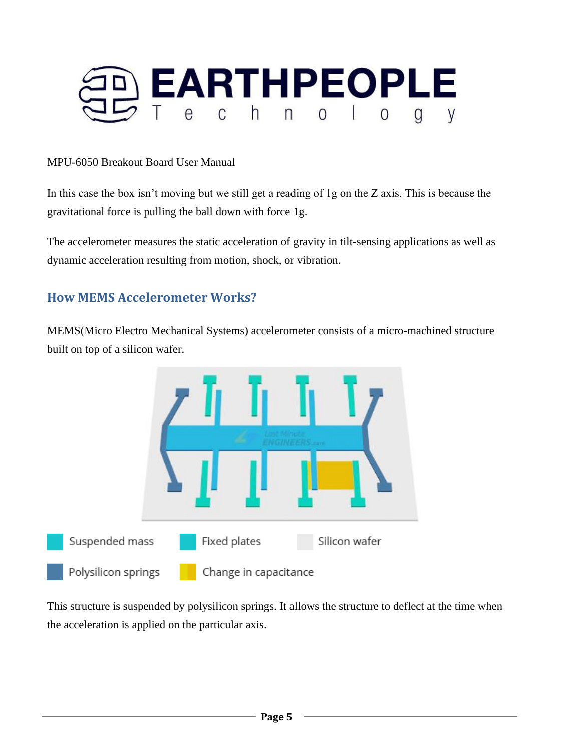

In this case the box isn't moving but we still get a reading of 1g on the Z axis. This is because the gravitational force is pulling the ball down with force 1g.

The accelerometer measures the static acceleration of gravity in tilt-sensing applications as well as dynamic acceleration resulting from motion, shock, or vibration.

### **How MEMS Accelerometer Works?**

MEMS(Micro Electro Mechanical Systems) accelerometer consists of a micro-machined structure built on top of a silicon wafer.



This structure is suspended by polysilicon springs. It allows the structure to deflect at the time when the acceleration is applied on the particular axis.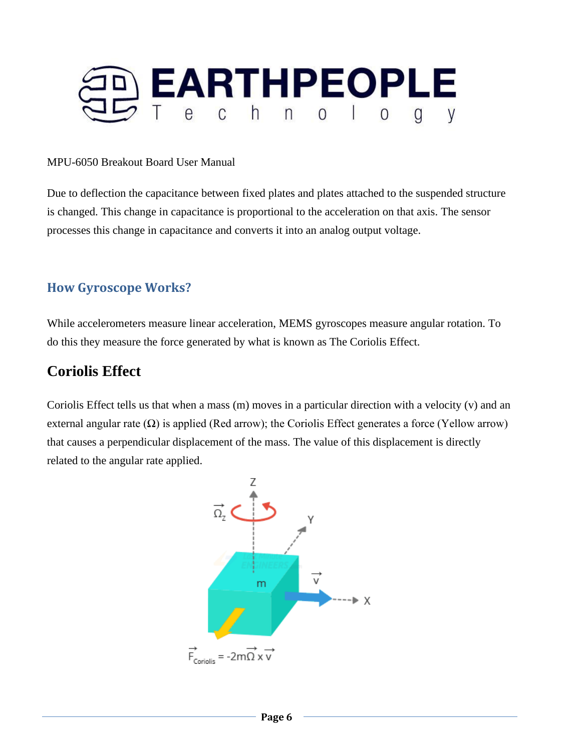

Due to deflection the capacitance between fixed plates and plates attached to the suspended structure is changed. This change in capacitance is proportional to the acceleration on that axis. The sensor processes this change in capacitance and converts it into an analog output voltage.

### **How Gyroscope Works?**

While accelerometers measure linear acceleration, MEMS gyroscopes measure angular rotation. To do this they measure the force generated by what is known as The Coriolis Effect.

# **Coriolis Effect**

Coriolis Effect tells us that when a mass (m) moves in a particular direction with a velocity (v) and an external angular rate  $(\Omega)$  is applied (Red arrow); the Coriolis Effect generates a force (Yellow arrow) that causes a perpendicular displacement of the mass. The value of this displacement is directly related to the angular rate applied.

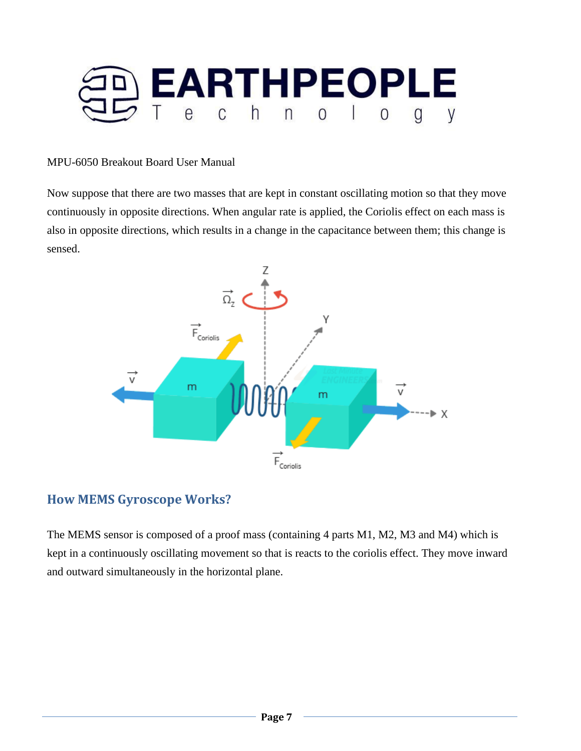

Now suppose that there are two masses that are kept in constant oscillating motion so that they move continuously in opposite directions. When angular rate is applied, the Coriolis effect on each mass is also in opposite directions, which results in a change in the capacitance between them; this change is sensed.



### **How MEMS Gyroscope Works?**

The MEMS sensor is composed of a proof mass (containing 4 parts M1, M2, M3 and M4) which is kept in a continuously oscillating movement so that is reacts to the coriolis effect. They move inward and outward simultaneously in the horizontal plane.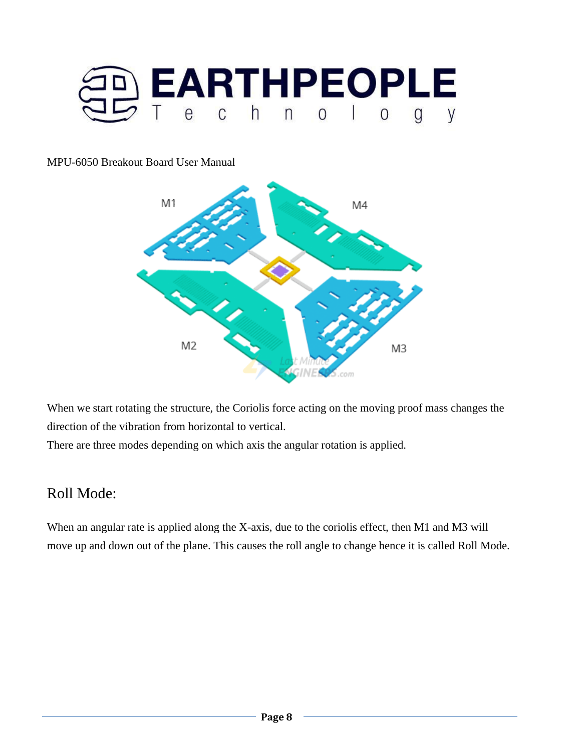



When we start rotating the structure, the Coriolis force acting on the moving proof mass changes the direction of the vibration from horizontal to vertical.

There are three modes depending on which axis the angular rotation is applied.

# Roll Mode:

When an angular rate is applied along the X-axis, due to the coriolis effect, then M1 and M3 will move up and down out of the plane. This causes the roll angle to change hence it is called Roll Mode.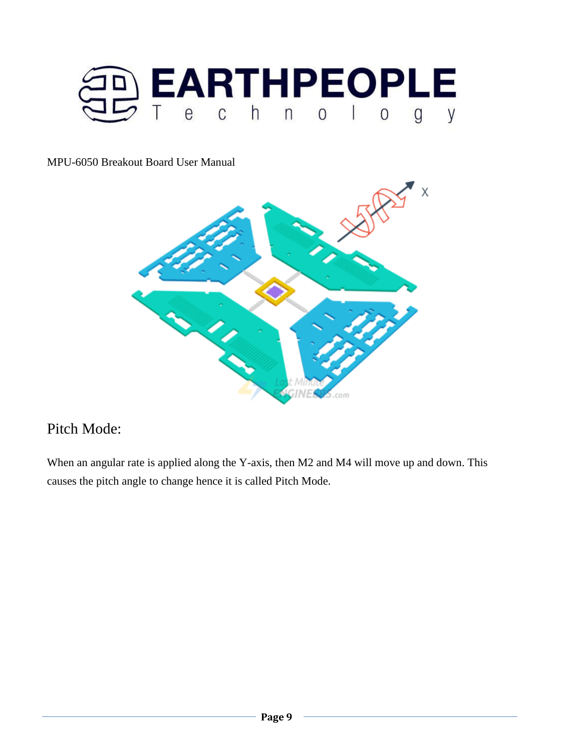



# Pitch Mode:

When an angular rate is applied along the Y-axis, then M2 and M4 will move up and down. This causes the pitch angle to change hence it is called Pitch Mode.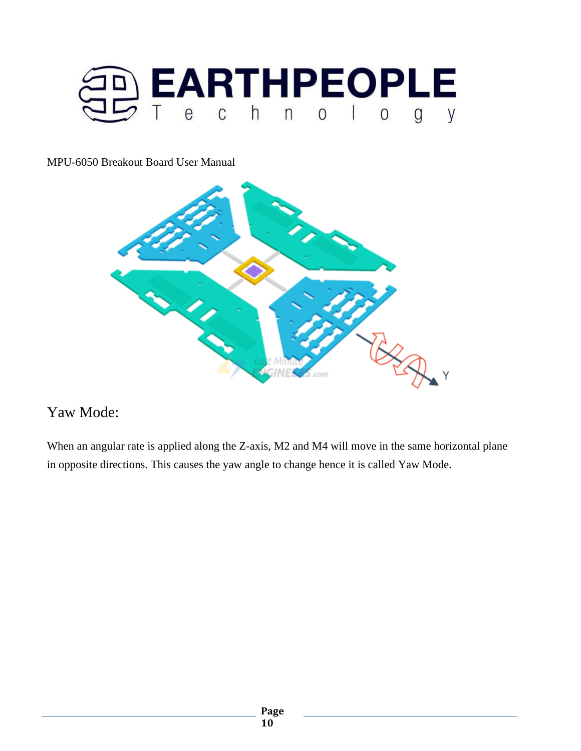



# Yaw Mode:

When an angular rate is applied along the Z-axis, M2 and M4 will move in the same horizontal plane in opposite directions. This causes the yaw angle to change hence it is called Yaw Mode.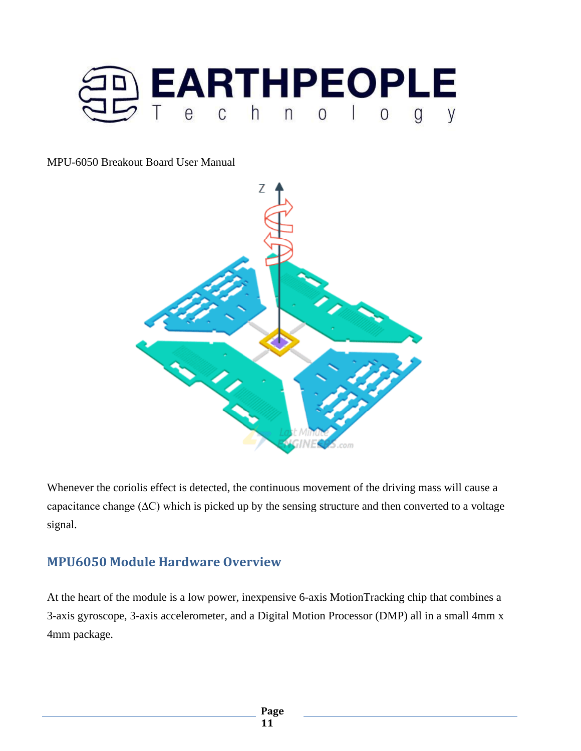



Whenever the coriolis effect is detected, the continuous movement of the driving mass will cause a capacitance change (∆C) which is picked up by the sensing structure and then converted to a voltage signal.

### **MPU6050 Module Hardware Overview**

At the heart of the module is a low power, inexpensive 6-axis MotionTracking chip that combines a 3-axis gyroscope, 3-axis accelerometer, and a Digital Motion Processor (DMP) all in a small 4mm x 4mm package.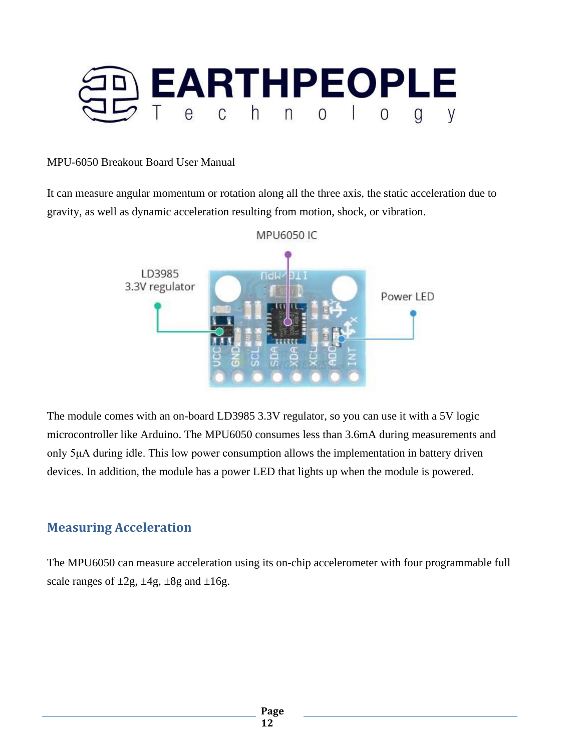

It can measure angular momentum or rotation along all the three axis, the static acceleration due to gravity, as well as dynamic acceleration resulting from motion, shock, or vibration.



The module comes with an on-board LD3985 3.3V regulator, so you can use it with a 5V logic microcontroller like Arduino. The MPU6050 consumes less than 3.6mA during measurements and only 5μA during idle. This low power consumption allows the implementation in battery driven devices. In addition, the module has a power LED that lights up when the module is powered.

### **Measuring Acceleration**

The MPU6050 can measure acceleration using its on-chip accelerometer with four programmable full scale ranges of  $\pm 2g$ ,  $\pm 4g$ ,  $\pm 8g$  and  $\pm 16g$ .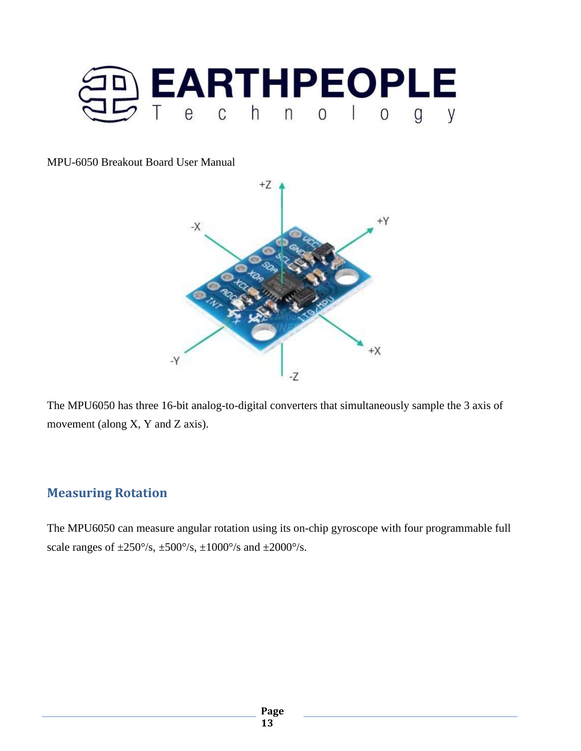



The MPU6050 has three 16-bit analog-to-digital converters that simultaneously sample the 3 axis of movement (along X, Y and Z axis).

### **Measuring Rotation**

The MPU6050 can measure angular rotation using its on-chip gyroscope with four programmable full scale ranges of  $\pm 250^{\circ}/s$ ,  $\pm 500^{\circ}/s$ ,  $\pm 1000^{\circ}/s$  and  $\pm 2000^{\circ}/s$ .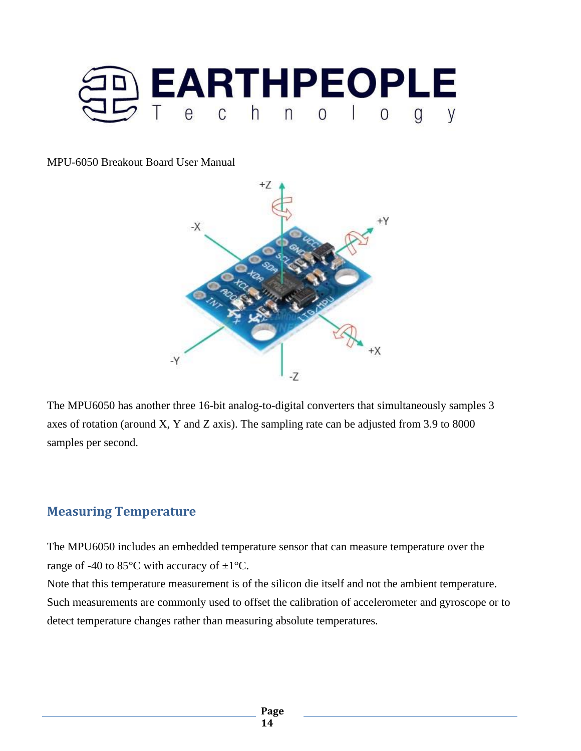



The MPU6050 has another three 16-bit analog-to-digital converters that simultaneously samples 3 axes of rotation (around X, Y and Z axis). The sampling rate can be adjusted from 3.9 to 8000 samples per second.

### **Measuring Temperature**

The MPU6050 includes an embedded temperature sensor that can measure temperature over the range of -40 to 85 $\degree$ C with accuracy of  $\pm 1\degree$ C.

Note that this temperature measurement is of the silicon die itself and not the ambient temperature. Such measurements are commonly used to offset the calibration of accelerometer and gyroscope or to detect temperature changes rather than measuring absolute temperatures.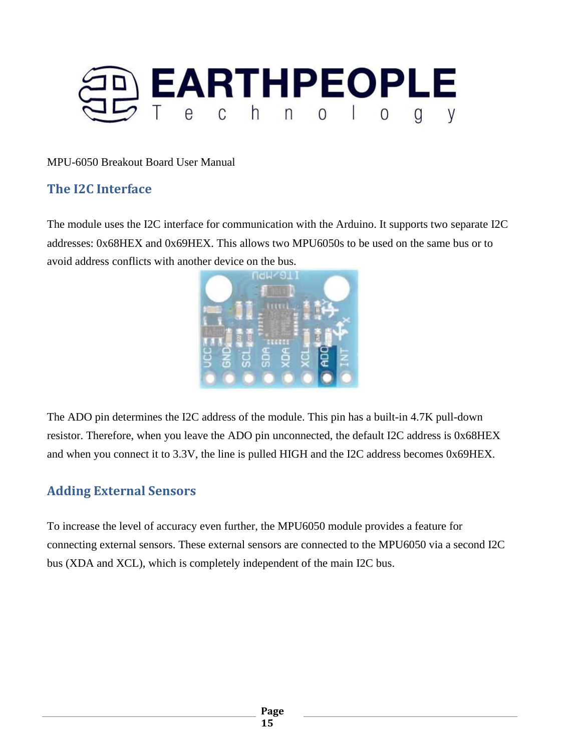

# **The I2C Interface**

The module uses the I2C interface for communication with the Arduino. It supports two separate I2C addresses: 0x68HEX and 0x69HEX. This allows two MPU6050s to be used on the same bus or to avoid address conflicts with another device on the bus.



The ADO pin determines the I2C address of the module. This pin has a built-in 4.7K pull-down resistor. Therefore, when you leave the ADO pin unconnected, the default I2C address is 0x68HEX and when you connect it to 3.3V, the line is pulled HIGH and the I2C address becomes 0x69HEX.

### **Adding External Sensors**

To increase the level of accuracy even further, the MPU6050 module provides a feature for connecting external sensors. These external sensors are connected to the MPU6050 via a second I2C bus (XDA and XCL), which is completely independent of the main I2C bus.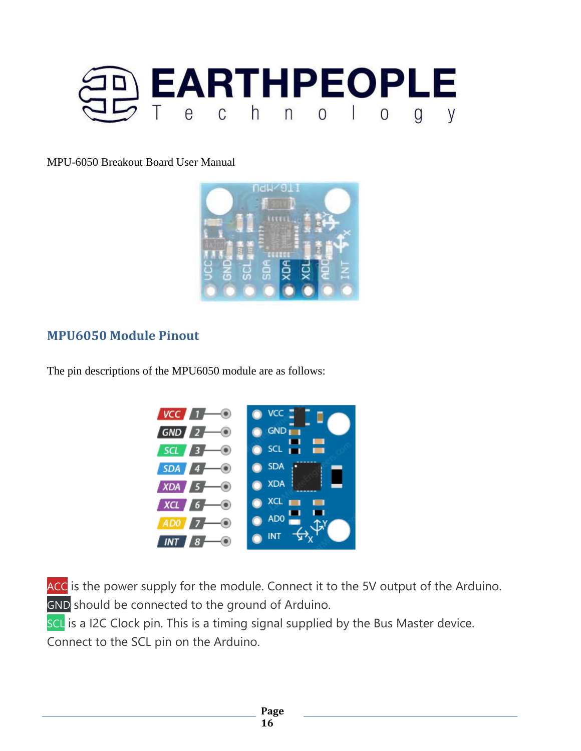



### **MPU6050 Module Pinout**

The pin descriptions of the MPU6050 module are as follows:



ACC is the power supply for the module. Connect it to the 5V output of the Arduino. GND should be connected to the ground of Arduino.

SCL is a I2C Clock pin. This is a timing signal supplied by the Bus Master device. Connect to the SCL pin on the Arduino.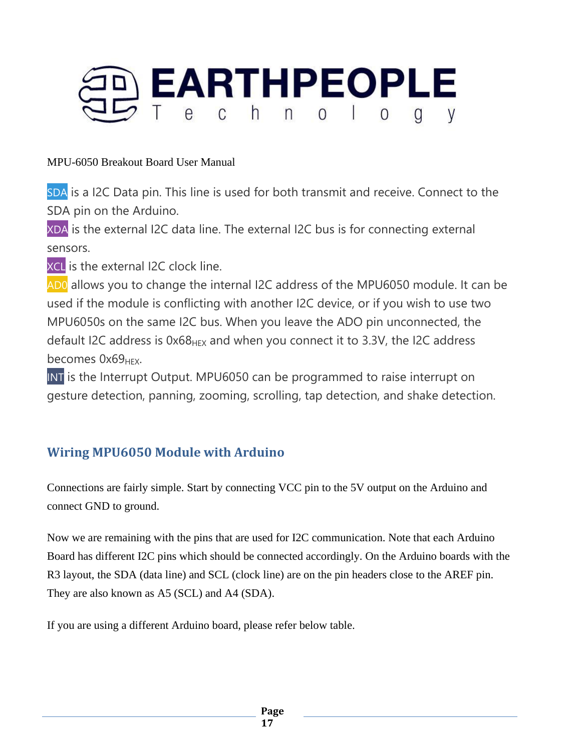

SDA is a I2C Data pin. This line is used for both transmit and receive. Connect to the SDA pin on the Arduino.

XDA is the external I2C data line. The external I2C bus is for connecting external sensors.

XCL is the external I2C clock line.

AD0 allows you to change the internal I2C address of the MPU6050 module. It can be used if the module is conflicting with another I2C device, or if you wish to use two MPU6050s on the same I2C bus. When you leave the ADO pin unconnected, the default I2C address is  $0x68_{\text{Hex}}$  and when you connect it to 3.3V, the I2C address becomes  $0x69_{HFX}$ .

INT is the Interrupt Output. MPU6050 can be programmed to raise interrupt on gesture detection, panning, zooming, scrolling, tap detection, and shake detection.

# **Wiring MPU6050 Module with Arduino**

Connections are fairly simple. Start by connecting VCC pin to the 5V output on the Arduino and connect GND to ground.

Now we are remaining with the pins that are used for I2C communication. Note that each Arduino Board has different I2C pins which should be connected accordingly. On the Arduino boards with the R3 layout, the SDA (data line) and SCL (clock line) are on the pin headers close to the AREF pin. They are also known as A5 (SCL) and A4 (SDA).

If you are using a different Arduino board, please refer below table.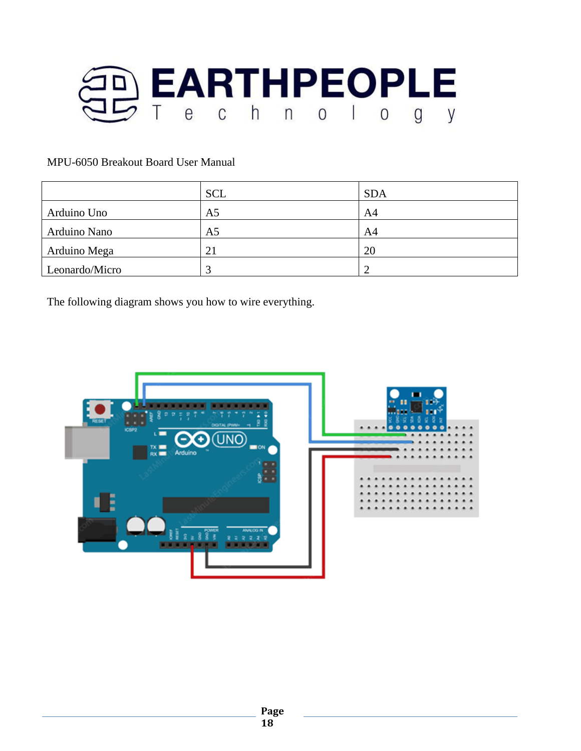

|                | <b>SCL</b>     | <b>SDA</b> |
|----------------|----------------|------------|
| Arduino Uno    | A5             | A4         |
| Arduino Nano   | A <sub>5</sub> | A4         |
| Arduino Mega   | 21             | 20         |
| Leonardo/Micro | ⌒              |            |

The following diagram shows you how to wire everything.

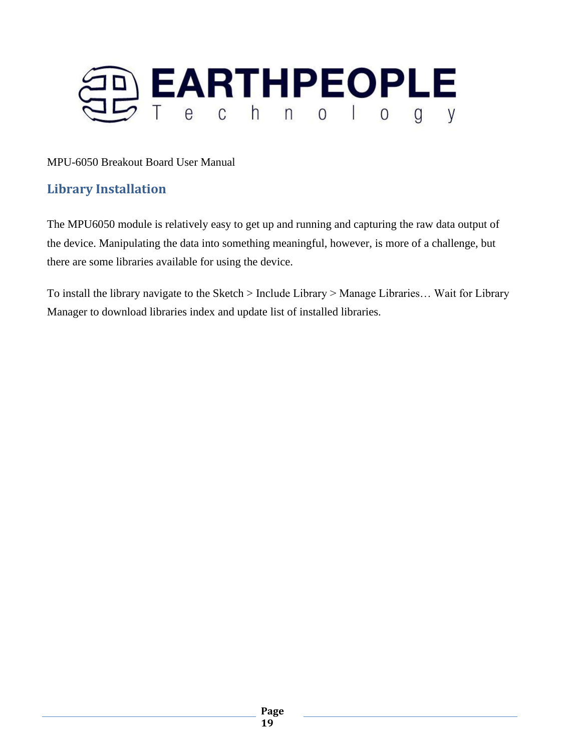

# **Library Installation**

The MPU6050 module is relatively easy to get up and running and capturing the raw data output of the device. Manipulating the data into something meaningful, however, is more of a challenge, but there are some libraries available for using the device.

To install the library navigate to the Sketch > Include Library > Manage Libraries… Wait for Library Manager to download libraries index and update list of installed libraries.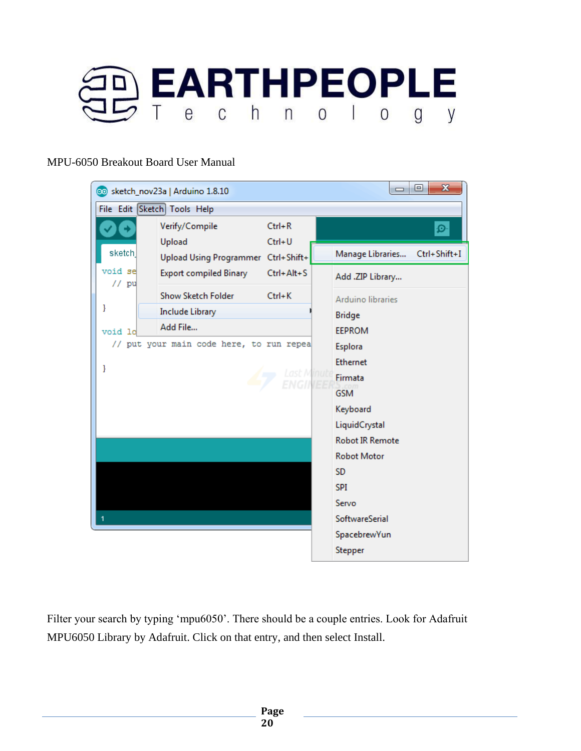



Filter your search by typing 'mpu6050'. There should be a couple entries. Look for Adafruit MPU6050 Library by Adafruit. Click on that entry, and then select Install.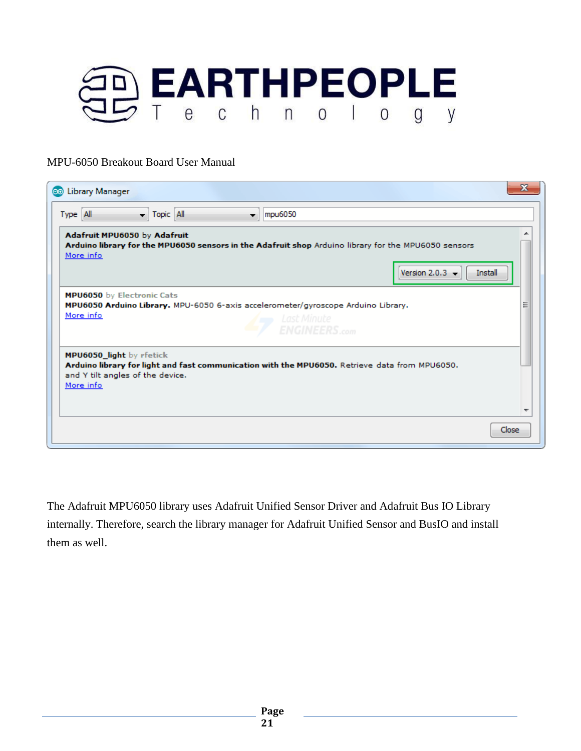

| X<br>Library Manager<br>ΘO                                                                                                                                                                  |  |  |  |
|---------------------------------------------------------------------------------------------------------------------------------------------------------------------------------------------|--|--|--|
| Topic All<br>Type All<br>mpu6050<br>v.                                                                                                                                                      |  |  |  |
| Adafruit MPU6050 by Adafruit<br>Arduino library for the MPU6050 sensors in the Adafruit shop Arduino library for the MPU6050 sensors<br>More info<br>Version 2.0.3 $\rightarrow$<br>Install |  |  |  |
| MPU6050 by Electronic Cats<br>Ξ<br>MPU6050 Arduino Library. MPU-6050 6-axis accelerometer/gyroscope Arduino Library.<br>More info<br>Last Minute<br><b>ENGINEERS.com</b>                    |  |  |  |
| MPU6050 light by rfetick<br>Arduino library for light and fast communication with the MPU6050. Retrieve data from MPU6050.<br>and Y tilt angles of the device.<br>More info<br>۰            |  |  |  |
| Close                                                                                                                                                                                       |  |  |  |

The Adafruit MPU6050 library uses Adafruit Unified Sensor Driver and Adafruit Bus IO Library internally. Therefore, search the library manager for Adafruit Unified Sensor and BusIO and install them as well.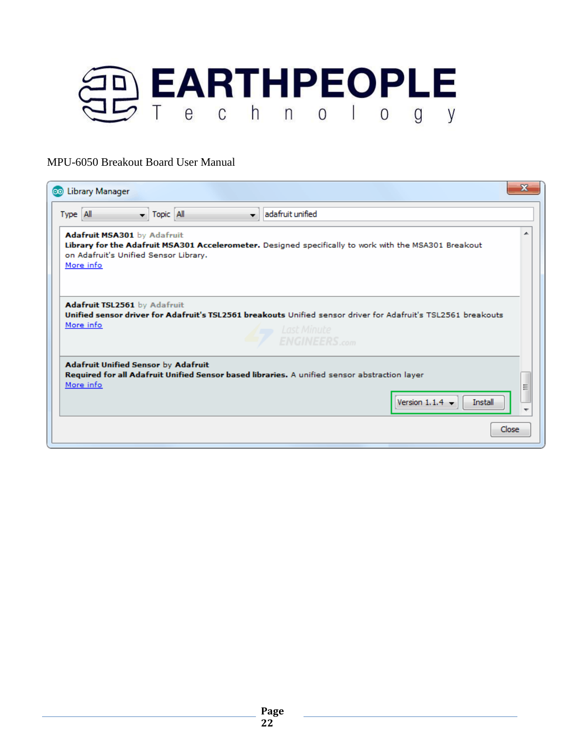

| Library Manager<br>ΘΘ                                                                                                                                                                                  | х |  |
|--------------------------------------------------------------------------------------------------------------------------------------------------------------------------------------------------------|---|--|
| adafruit unified<br>$\blacktriangleright$ Topic All<br>Type All<br>۰.                                                                                                                                  |   |  |
| Adafruit MSA301 by Adafruit<br>Library for the Adafruit MSA301 Accelerometer. Designed specifically to work with the MSA301 Breakout<br>on Adafruit's Unified Sensor Library.<br>More info             | ┻ |  |
| Adafruit TSL2561 by Adafruit<br>Unified sensor driver for Adafruit's TSL2561 breakouts Unified sensor driver for Adafruit's TSL2561 breakouts<br>More info<br>Last Minute<br><b>ENGINEERS.com</b>      |   |  |
| <b>Adafruit Unified Sensor by Adafruit</b><br>Required for all Adafruit Unified Sensor based libraries. A unified sensor abstraction layer<br>More info<br>Ξ<br>Version 1.1.4 $\rightarrow$<br>Install |   |  |
| Close                                                                                                                                                                                                  |   |  |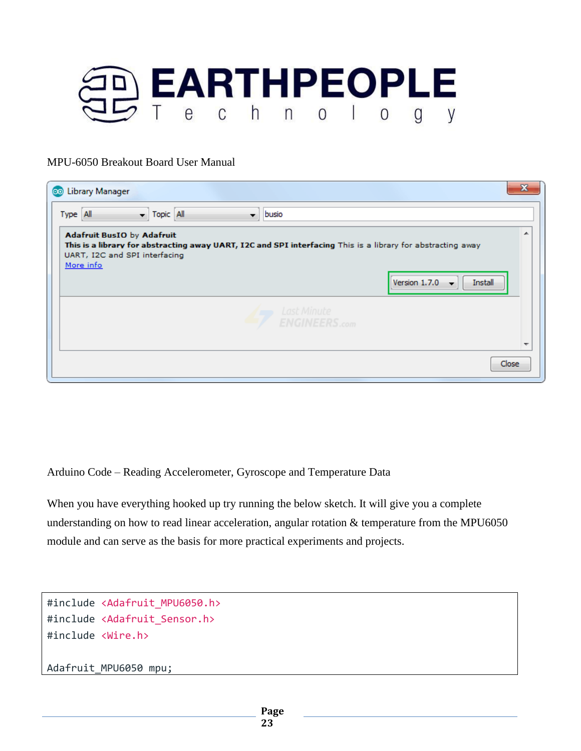

| Library Manager<br>ఱ                                                                                                                                                                           | х       |
|------------------------------------------------------------------------------------------------------------------------------------------------------------------------------------------------|---------|
| $\blacktriangledown$ Topic All<br>Type All<br>busio<br>▼.                                                                                                                                      |         |
| <b>Adafruit BusIO by Adafruit</b><br>This is a library for abstracting away UART, I2C and SPI interfacing This is a library for abstracting away<br>UART, I2C and SPI interfacing<br>More info | ┻       |
| Version 1.7.0                                                                                                                                                                                  | Install |
| Last Minute<br><b>ENGINEERS.com</b>                                                                                                                                                            |         |
|                                                                                                                                                                                                | Close   |

Arduino Code – Reading Accelerometer, Gyroscope and Temperature Data

When you have everything hooked up try running the below sketch. It will give you a complete understanding on how to read linear acceleration, angular rotation & temperature from the MPU6050 module and can serve as the basis for more practical experiments and projects.

```
#include <Adafruit_MPU6050.h>
#include <Adafruit_Sensor.h>
#include <Wire.h>
```
Adafruit\_MPU6050 mpu;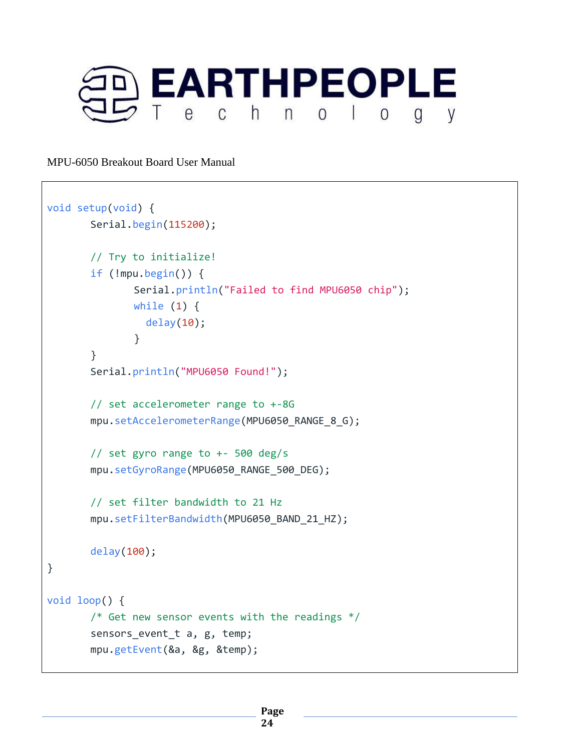

```
void setup(void) {
       Serial.begin(115200);
       // Try to initialize!
       if (!mpu.begin()) {
              Serial.println("Failed to find MPU6050 chip");
              while (1) {
                 delay(10);
              }
       }
       Serial.println("MPU6050 Found!");
       // set accelerometer range to +-8G
       mpu.setAccelerometerRange(MPU6050_RANGE_8_G);
       // set gyro range to +- 500 deg/s
       mpu.setGyroRange(MPU6050_RANGE_500_DEG);
       // set filter bandwidth to 21 Hz
       mpu.setFilterBandwidth(MPU6050_BAND_21_HZ);
       delay(100);
}
void loop() {
       /* Get new sensor events with the readings */
       sensors_event_t a, g, temp;
       mpu.getEvent(&a, &g, &temp);
```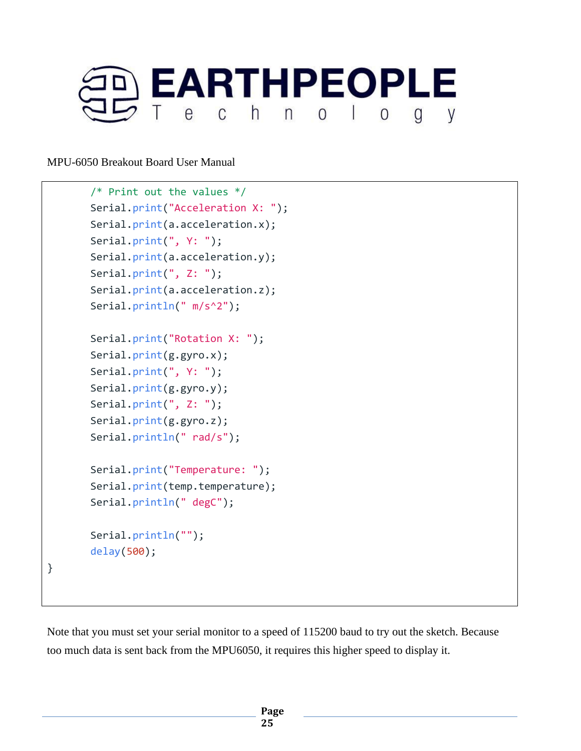

```
/* Print out the values */
Serial.print("Acceleration X: ");
Serial.print(a.acceleration.x);
Serial.print(", Y: ");
Serial.print(a.acceleration.y);
Serial.print(", Z: ");
Serial.print(a.acceleration.z);
Serial.println(" m/s^2");
Serial.print("Rotation X: ");
Serial.print(g.gyro.x);
Serial.print(", Y: ");
Serial.print(g.gyro.y);
Serial.print(", Z: ");
Serial.print(g.gyro.z);
Serial.println(" rad/s");
Serial.print("Temperature: ");
Serial.print(temp.temperature);
Serial.println(" degC");
Serial.println("");
delay(500);
```
}

Note that you must set your serial monitor to a speed of 115200 baud to try out the sketch. Because too much data is sent back from the MPU6050, it requires this higher speed to display it.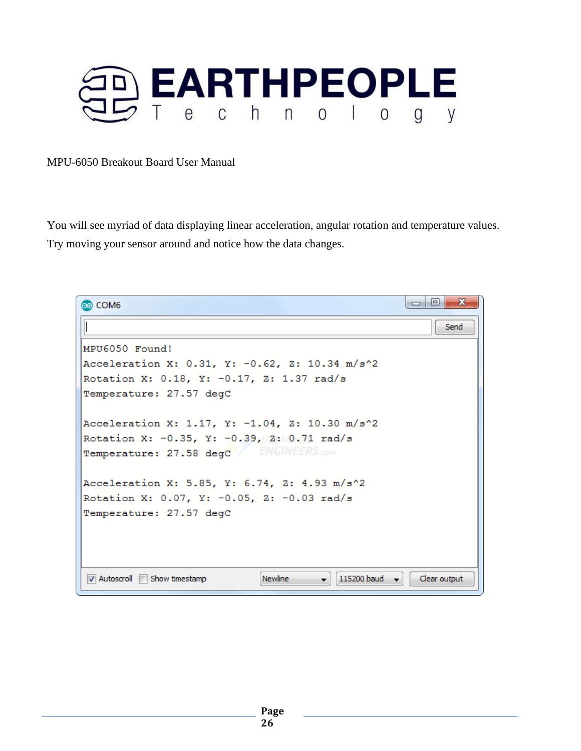

You will see myriad of data displaying linear acceleration, angular rotation and temperature values. Try moving your sensor around and notice how the data changes.

 $\Box$  $\overline{\mathbf{x}}$ co COM6 Send MPU6050 Found! Acceleration X: 0.31, Y: -0.62, Z: 10.34 m/s^2 Rotation X: 0.18, Y: -0.17, Z: 1.37 rad/s Temperature: 27.57 degC Acceleration X: 1.17, Y: -1.04, Z: 10.30 m/s^2 Rotation X: -0.35, Y: -0.39, Z: 0.71 rad/s Temperature: 27.58 degc ENGINEERS.com Acceleration X: 5.85, Y: 6.74, Z: 4.93 m/s^2 Rotation X: 0.07, Y: -0.05, Z: -0.03 rad/s Temperature: 27.57 degC **V** Autoscroll **I** Show timestamp **Newline** 115200 baud v Clear output  $\overline{\phantom{a}}$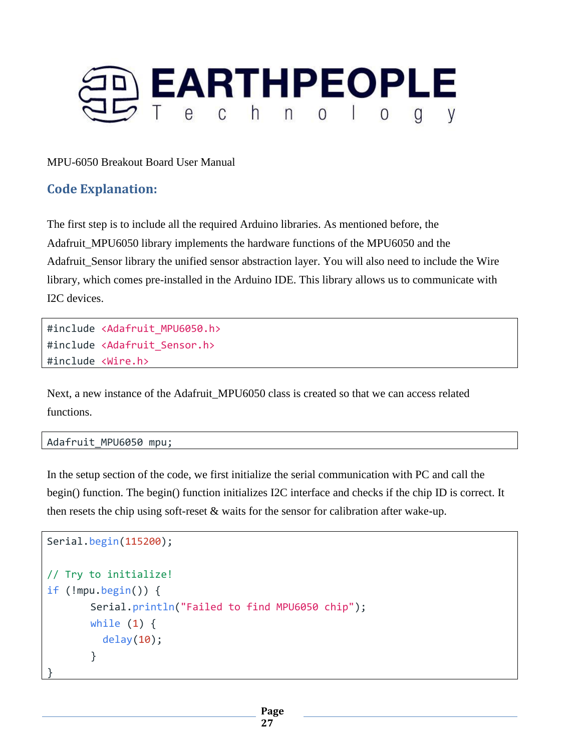

### **Code Explanation:**

The first step is to include all the required Arduino libraries. As mentioned before, the Adafruit\_MPU6050 library implements the hardware functions of the MPU6050 and the Adafruit Sensor library the unified sensor abstraction layer. You will also need to include the Wire library, which comes pre-installed in the Arduino IDE. This library allows us to communicate with I2C devices.

#include <Adafruit\_MPU6050.h> #include <Adafruit\_Sensor.h> #include <Wire.h>

Next, a new instance of the Adafruit\_MPU6050 class is created so that we can access related functions.

Adafruit\_MPU6050 mpu;

In the setup section of the code, we first initialize the serial communication with PC and call the begin() function. The begin() function initializes I2C interface and checks if the chip ID is correct. It then resets the chip using soft-reset & waits for the sensor for calibration after wake-up.

```
Serial.begin(115200);
// Try to initialize!
if (!mpu.begin()) {
       Serial.println("Failed to find MPU6050 chip");
       while (1) {
          delay(10);
       }
}
```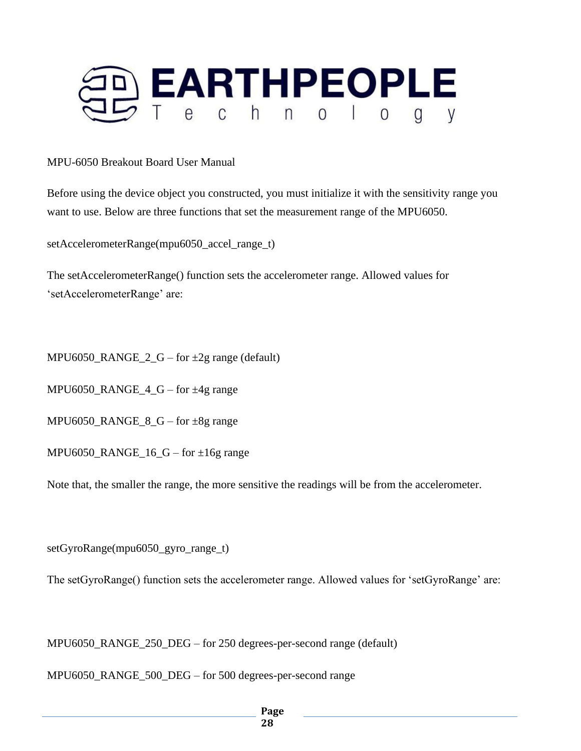

Before using the device object you constructed, you must initialize it with the sensitivity range you want to use. Below are three functions that set the measurement range of the MPU6050.

setAccelerometerRange(mpu6050\_accel\_range\_t)

The setAccelerometerRange() function sets the accelerometer range. Allowed values for 'setAccelerometerRange' are:

MPU6050\_RANGE\_2\_G – for  $\pm 2g$  range (default)

MPU6050\_RANGE\_4\_G – for ±4g range

MPU6050\_RANGE\_8\_G – for  $\pm 8g$  range

MPU6050\_RANGE\_ $16_G -$  for  $\pm 16g$  range

Note that, the smaller the range, the more sensitive the readings will be from the accelerometer.

setGyroRange(mpu6050\_gyro\_range\_t)

The setGyroRange() function sets the accelerometer range. Allowed values for 'setGyroRange' are:

MPU6050\_RANGE\_250\_DEG – for 250 degrees-per-second range (default)

MPU6050\_RANGE\_500\_DEG – for 500 degrees-per-second range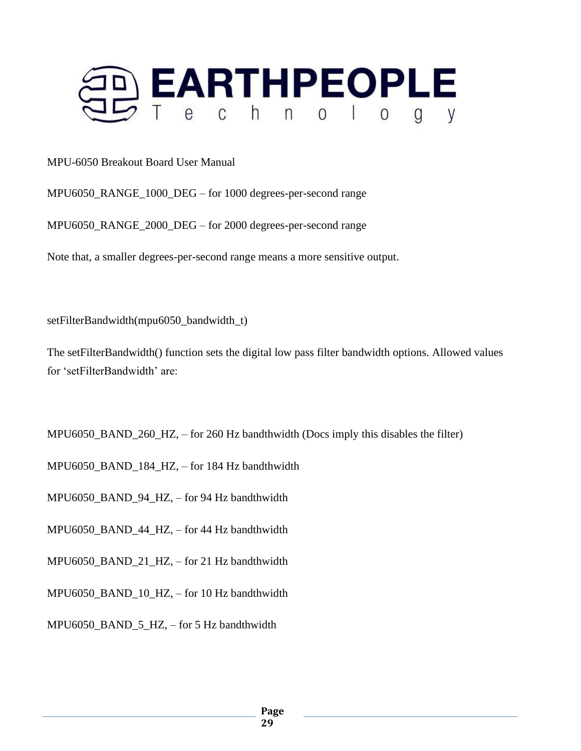

MPU6050\_RANGE\_1000\_DEG – for 1000 degrees-per-second range

MPU6050\_RANGE\_2000\_DEG – for 2000 degrees-per-second range

Note that, a smaller degrees-per-second range means a more sensitive output.

setFilterBandwidth(mpu6050\_bandwidth\_t)

The setFilterBandwidth() function sets the digital low pass filter bandwidth options. Allowed values for 'setFilterBandwidth' are:

MPU6050\_BAND\_260\_HZ, – for 260 Hz bandthwidth (Docs imply this disables the filter)

MPU6050\_BAND\_184\_HZ, – for 184 Hz bandthwidth

MPU6050\_BAND\_94\_HZ, – for 94 Hz bandthwidth

MPU6050\_BAND\_44\_HZ, – for 44 Hz bandthwidth

MPU6050\_BAND\_21\_HZ, – for 21 Hz bandthwidth

MPU6050\_BAND\_10\_HZ, – for 10 Hz bandthwidth

MPU6050\_BAND\_5\_HZ, – for 5 Hz bandthwidth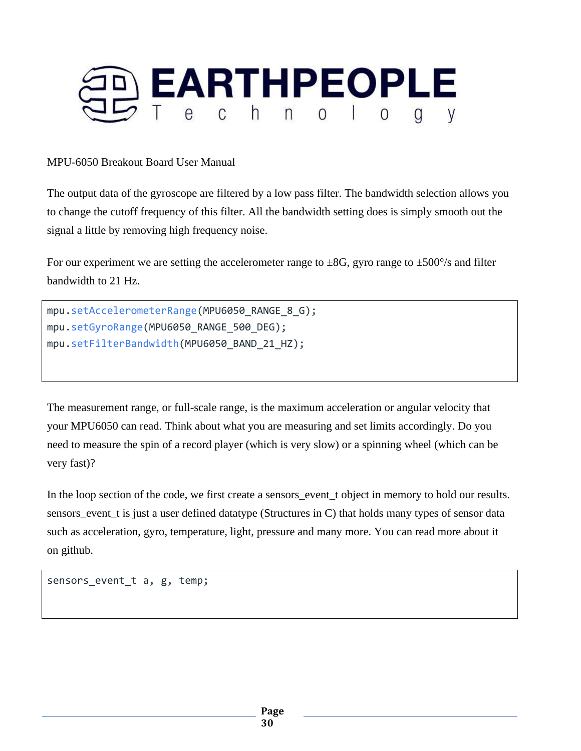

The output data of the gyroscope are filtered by a low pass filter. The bandwidth selection allows you to change the cutoff frequency of this filter. All the bandwidth setting does is simply smooth out the signal a little by removing high frequency noise.

For our experiment we are setting the accelerometer range to  $\pm 8G$ , gyro range to  $\pm 500^{\circ}/s$  and filter bandwidth to 21 Hz.

```
mpu.setAccelerometerRange(MPU6050_RANGE_8_G);
mpu.setGyroRange(MPU6050_RANGE_500_DEG);
mpu.setFilterBandwidth(MPU6050 BAND 21 HZ);
```
The measurement range, or full-scale range, is the maximum acceleration or angular velocity that your MPU6050 can read. Think about what you are measuring and set limits accordingly. Do you need to measure the spin of a record player (which is very slow) or a spinning wheel (which can be very fast)?

In the loop section of the code, we first create a sensors\_event\_t object in memory to hold our results. sensors\_event\_t is just a user defined datatype (Structures in C) that holds many types of sensor data such as acceleration, gyro, temperature, light, pressure and many more. You can read more about it on github.

sensors event t a, g, temp;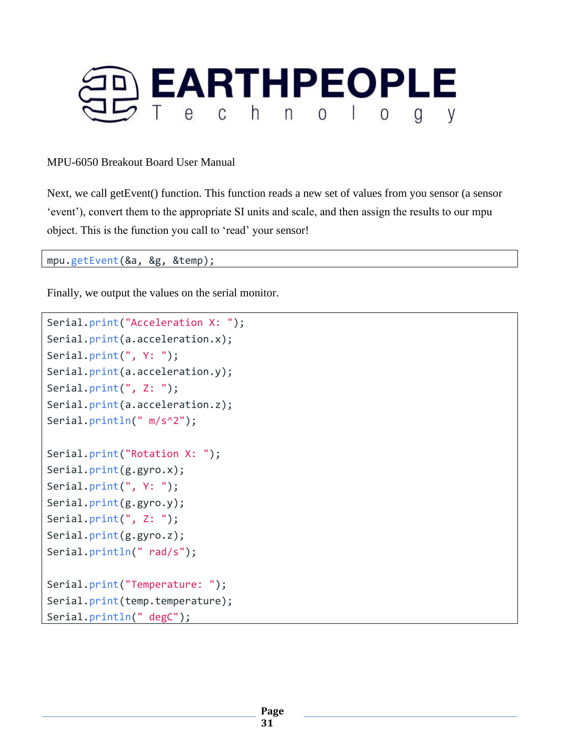

Next, we call getEvent() function. This function reads a new set of values from you sensor (a sensor 'event'), convert them to the appropriate SI units and scale, and then assign the results to our mpu object. This is the function you call to 'read' your sensor!

mpu.getEvent(&a, &g, &temp);

Finally, we output the values on the serial monitor.

```
Serial.print("Acceleration X: ");
Serial.print(a.acceleration.x);
Serial.print(", Y: ");
Serial.print(a.acceleration.y);
Serial.print(", Z: ");
Serial.print(a.acceleration.z);
Serial.println(" m/s^2");
Serial.print("Rotation X: ");
Serial.print(g.gyro.x);
Serial.print(", Y: ");
Serial.print(g.gyro.y);
Serial.print(", Z: ");
Serial.print(g.gyro.z);
Serial.println(" rad/s");
Serial.print("Temperature: ");
Serial.print(temp.temperature);
Serial.println(" degC");
```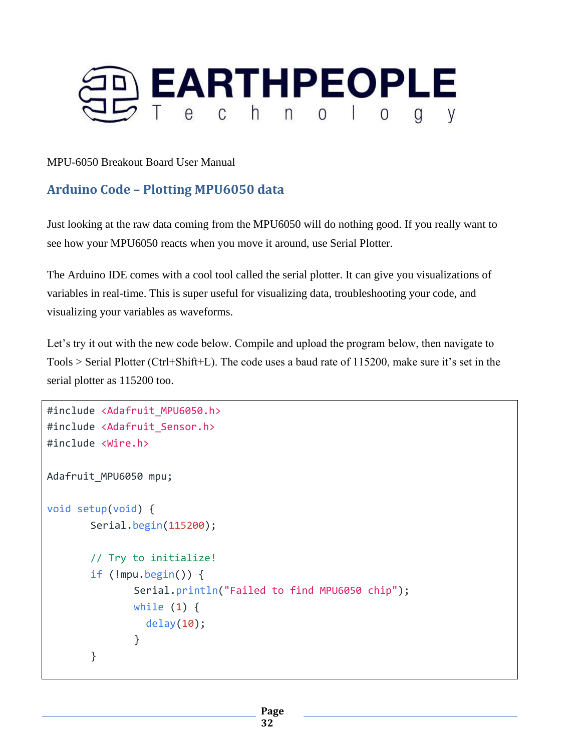

# **Arduino Code – Plotting MPU6050 data**

Just looking at the raw data coming from the MPU6050 will do nothing good. If you really want to see how your MPU6050 reacts when you move it around, use Serial Plotter.

The Arduino IDE comes with a cool tool called the serial plotter. It can give you visualizations of variables in real-time. This is super useful for visualizing data, troubleshooting your code, and visualizing your variables as waveforms.

Let's try it out with the new code below. Compile and upload the program below, then navigate to Tools > Serial Plotter (Ctrl+Shift+L). The code uses a baud rate of 115200, make sure it's set in the serial plotter as 115200 too.

```
#include <Adafruit_MPU6050.h>
#include <Adafruit_Sensor.h>
#include <Wire.h>
Adafruit_MPU6050 mpu;
void setup(void) {
       Serial.begin(115200);
       // Try to initialize!
       if (!mpu.begin()) {
              Serial.println("Failed to find MPU6050 chip");
              while (1) {
                delay(10);
              }
       }
```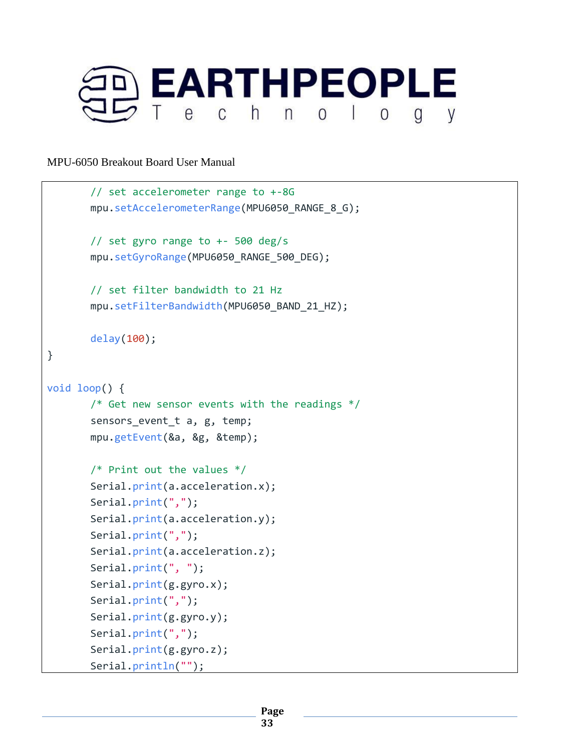

```
// set accelerometer range to +-8G
       mpu.setAccelerometerRange(MPU6050_RANGE_8_G);
       // set gyro range to +- 500 deg/s
       mpu.setGyroRange(MPU6050 RANGE 500 DEG);
       // set filter bandwidth to 21 Hz
       mpu.setFilterBandwidth(MPU6050_BAND_21_HZ);
       delay(100);
}
void loop() {
       /* Get new sensor events with the readings */sensors_event_t a, g, temp;
       mpu.getEvent(&a, &g, &temp);
       /* Print out the values */
       Serial.print(a.acceleration.x);
       Serial.print(",");
       Serial.print(a.acceleration.y);
       Serial.print(",");
       Serial.print(a.acceleration.z);
       Serial.print(", ");
       Serial.print(g.gyro.x);
       Serial.print(",");
       Serial.print(g.gyro.y);
       Serial.print(",");
       Serial.print(g.gyro.z);
       Serial.println("");
```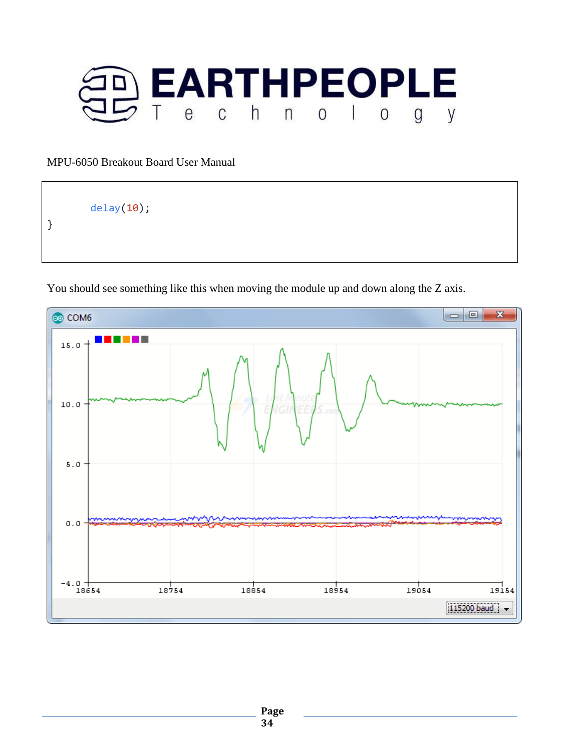

delay(10);

}

You should see something like this when moving the module up and down along the Z axis.